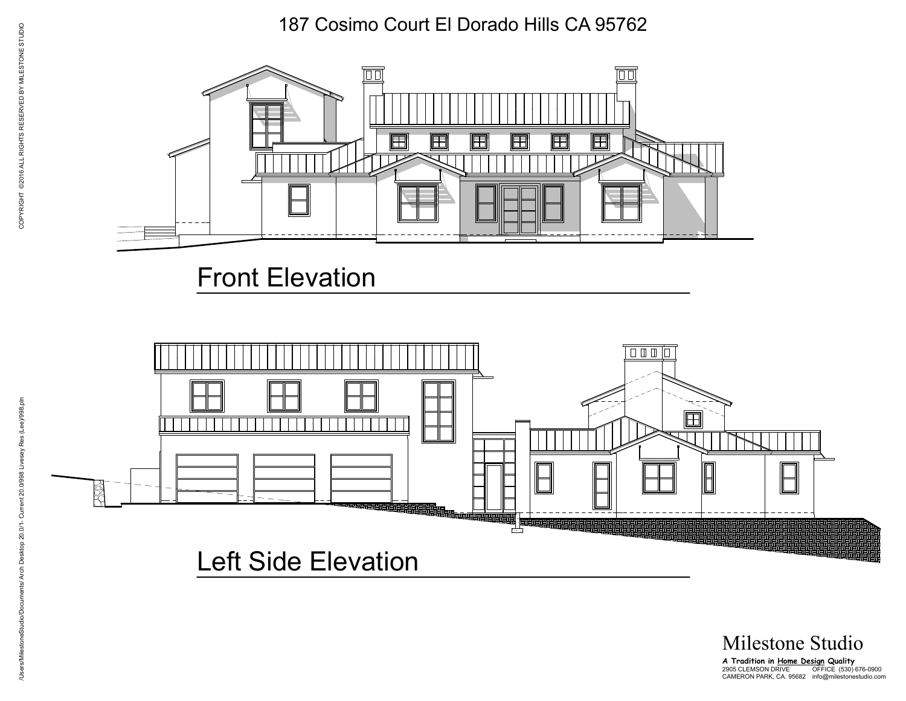187 Cosimo Court El Dorado Hills CA 95762



## Front Elevation



Milestone Studio

**A Tradition in Home Design Quality** OFFICE (530) 676-0900 info@milestonestudio.com 2905 CLEMSON DRIVE CAMERON PARK, CA. 95682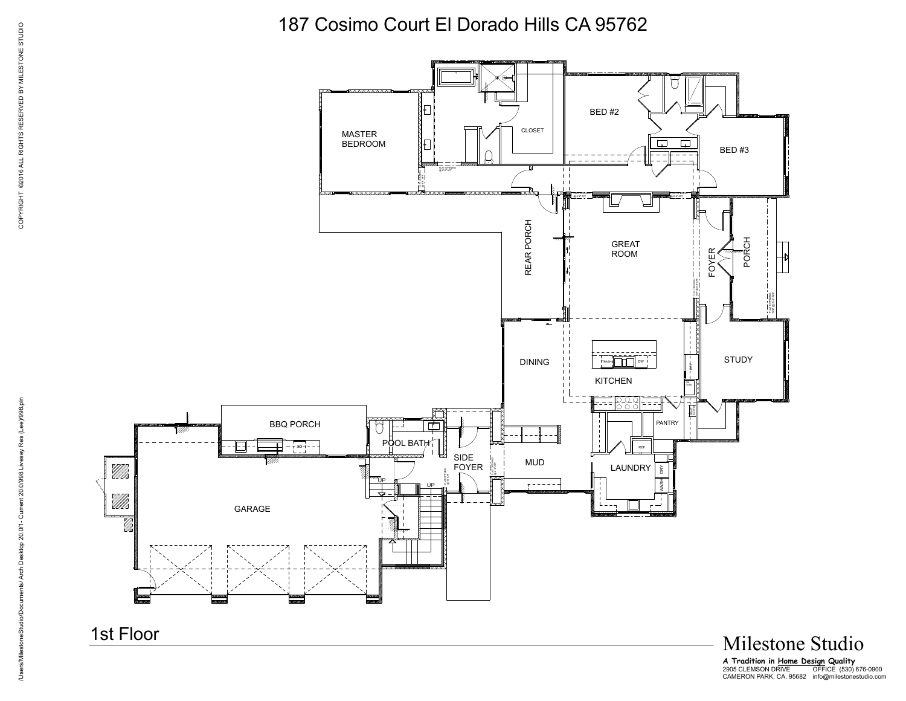187 Cosimo Court El Dorado Hills CA 95762



**A Tradition in Home Design Quality** OFFICE (530) 676-0900 info@milestonestudio.com 2905 CLEMSON DRIVE CAMERON PARK, CA. 95682